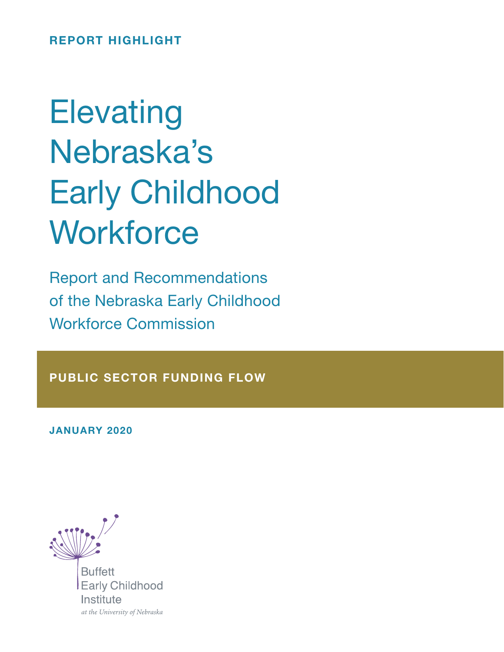REPORT HIGHLIGHT

# **Elevating** Nebraska's Early Childhood **Workforce**

Report and Recommendations of the Nebraska Early Childhood Workforce Commission

PUBLIC SECTOR FUNDING FLOW

JANUARY 2020



**Buffett Early Childhood** Institute at the University of Nebraska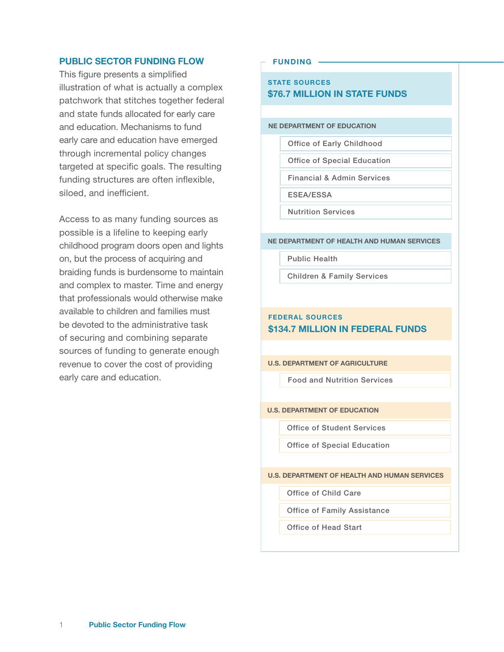## PUBLIC SECTOR FUNDING FLOW

This figure presents a simplified illustration of what is actually a complex patchwork that stitches together federal and state funds allocated for early care and education. Mechanisms to fund early care and education have emerged through incremental policy changes targeted at specific goals. The resulting funding structures are often inflexible, siloed, and inefficient.

Access to as many funding sources as possible is a lifeline to keeping early childhood program doors open and lights on, but the process of acquiring and braiding funds is burdensome to maintain and complex to master. Time and energy that professionals would otherwise make available to children and families must be devoted to the administrative task of securing and combining separate sources of funding to generate enough revenue to cover the cost of providing early care and education.

#### FUNDING

### STATE SOURCES \$76.7 MILLION IN STATE FUNDS

#### NE DEPARTMENT OF EDUCATION

Office of Early Childhood

Office of Special Education

Financial & Admin Services

ESEA/ESSA

Nutrition Services

#### NE DEPARTMENT OF HEALTH AND HUMAN SERVICES

Public Health

Children & Family Services

# FEDERAL SOURCES \$134.7 MILLION IN FEDERAL FUNDS

U.S. DEPARTMENT OF AGRICULTURE

Food and Nutrition Services

#### U.S. DEPARTMENT OF EDUCATION

Office of Student Services

Office of Special Education

U.S. DEPARTMENT OF HEALTH AND HUMAN SERVICES

Office of Child Care

Office of Family Assistance

Office of Head Start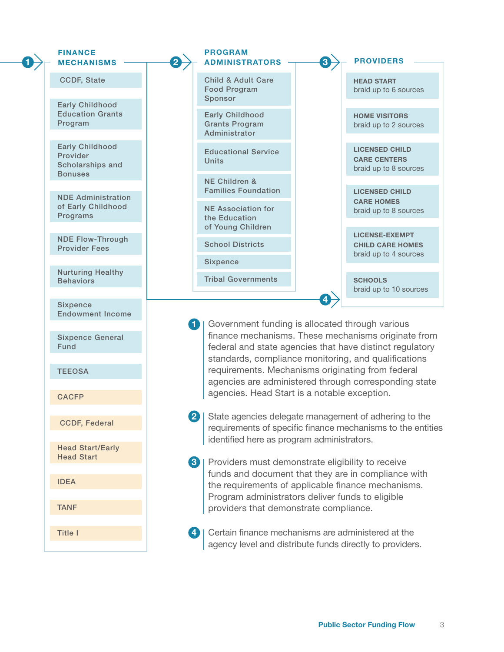